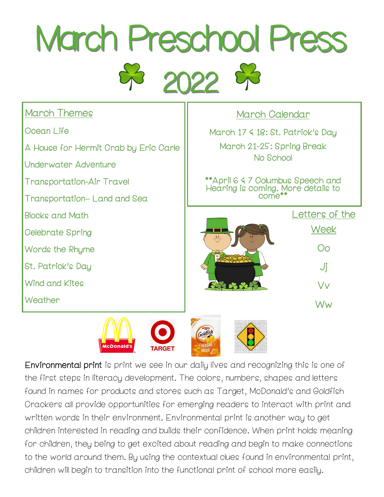

| <b>March Themes</b>                   | March Calendar                                                                    |
|---------------------------------------|-----------------------------------------------------------------------------------|
| Ocean Life                            | March 17 & 18: St. Patrick's Day                                                  |
| A House for Hermit Crab by Eric Carle | March 21-25: Spring Break<br>No School                                            |
| Underwater Adventure                  |                                                                                   |
| <b>Transportation-Air Travel</b>      | **April 6 & 7 Columbus Speech and<br>Hearing is coming. More details to<br>come** |
| Transportation-Land and Sea           |                                                                                   |
| <b>Blocks and Math</b>                | Letters of the                                                                    |
| Celebrate Spring                      | Week<br>Οo<br>Jj                                                                  |
| Words the Rhyme                       |                                                                                   |
| St. Patrick's Day                     |                                                                                   |
| <b>Wind and Kites</b>                 | Vv                                                                                |
| Weather                               | Ww                                                                                |
|                                       |                                                                                   |

Environmental print is print we see in our daily lives and recognizing this is one of the first steps in literacy development. The colors, numbers, shapes and letters found in names for products and stores such as Target, McDonald's and Goldfish Crackers all provide opportunities for emerging readers to interact with print and written words in their environment. Environmental print is another way to get children interested in reading and builds their confidence. When print holds meaning for children, they being to get excited about reading and begin to make connections to the world around them. By using the contextual clues found in environmental print, children will begin to transition into the functional print of school more easily.

**TARGET** 

McDonald's

**CHEDDAR**